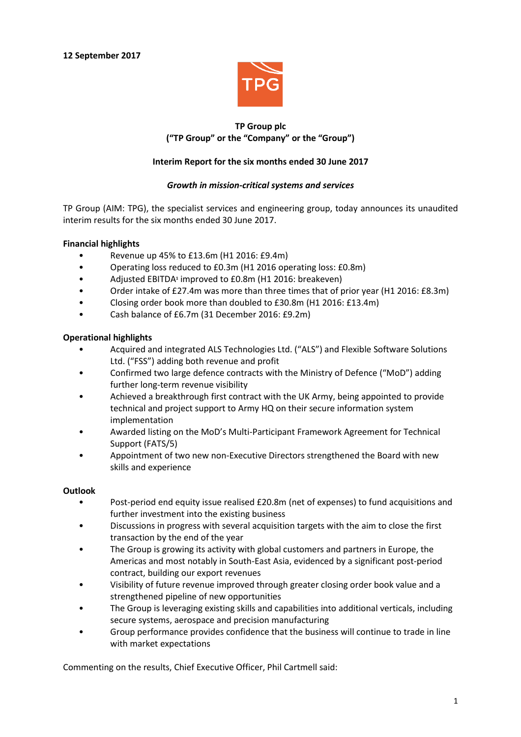

# **TP Group plc ("TP Group" or the "Company" or the "Group")**

# **Interim Report for the six months ended 30 June 2017**

### *Growth in mission-critical systems and services*

TP Group (AIM: TPG), the specialist services and engineering group, today announces its unaudited interim results for the six months ended 30 June 2017.

### **Financial highlights**

- Revenue up 45% to £13.6m (H1 2016: £9.4m)
- Operating loss reduced to £0.3m (H1 2016 operating loss: £0.8m)
- Adjusted EBITDA**<sup>1</sup>** improved to £0.8m (H1 2016: breakeven)
- Order intake of £27.4m was more than three times that of prior year (H1 2016: £8.3m)
- Closing order book more than doubled to £30.8m (H1 2016: £13.4m)
- Cash balance of £6.7m (31 December 2016: £9.2m)

# **Operational highlights**

- Acquired and integrated ALS Technologies Ltd. ("ALS") and Flexible Software Solutions Ltd. ("FSS") adding both revenue and profit
- Confirmed two large defence contracts with the Ministry of Defence ("MoD") adding further long-term revenue visibility
- Achieved a breakthrough first contract with the UK Army, being appointed to provide technical and project support to Army HQ on their secure information system implementation
- Awarded listing on the MoD's Multi-Participant Framework Agreement for Technical Support (FATS/5)
- Appointment of two new non-Executive Directors strengthened the Board with new skills and experience

### **Outlook**

- Post-period end equity issue realised £20.8m (net of expenses) to fund acquisitions and further investment into the existing business
- Discussions in progress with several acquisition targets with the aim to close the first transaction by the end of the year
- The Group is growing its activity with global customers and partners in Europe, the Americas and most notably in South-East Asia, evidenced by a significant post-period contract, building our export revenues
- Visibility of future revenue improved through greater closing order book value and a strengthened pipeline of new opportunities
- The Group is leveraging existing skills and capabilities into additional verticals, including secure systems, aerospace and precision manufacturing
- Group performance provides confidence that the business will continue to trade in line with market expectations

Commenting on the results, Chief Executive Officer, Phil Cartmell said: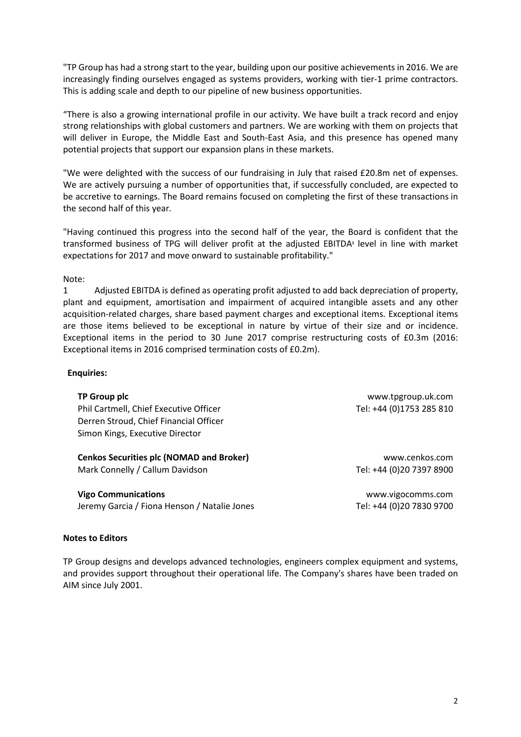"TP Group has had a strong start to the year, building upon our positive achievements in 2016. We are increasingly finding ourselves engaged as systems providers, working with tier-1 prime contractors. This is adding scale and depth to our pipeline of new business opportunities.

"There is also a growing international profile in our activity. We have built a track record and enjoy strong relationships with global customers and partners. We are working with them on projects that will deliver in Europe, the Middle East and South-East Asia, and this presence has opened many potential projects that support our expansion plans in these markets.

"We were delighted with the success of our fundraising in July that raised £20.8m net of expenses. We are actively pursuing a number of opportunities that, if successfully concluded, are expected to be accretive to earnings. The Board remains focused on completing the first of these transactions in the second half of this year.

"Having continued this progress into the second half of the year, the Board is confident that the transformed business of TPG will deliver profit at the adjusted EBITDA**<sup>1</sup>** level in line with market expectations for 2017 and move onward to sustainable profitability."

### Note:

1 Adjusted EBITDA is defined as operating profit adjusted to add back depreciation of property, plant and equipment, amortisation and impairment of acquired intangible assets and any other acquisition-related charges, share based payment charges and exceptional items. Exceptional items are those items believed to be exceptional in nature by virtue of their size and or incidence. Exceptional items in the period to 30 June 2017 comprise restructuring costs of £0.3m (2016: Exceptional items in 2016 comprised termination costs of £0.2m).

### **Enquiries:**

| TP Group plc<br>Phil Cartmell, Chief Executive Officer<br>Derren Stroud, Chief Financial Officer | www.tpgroup.uk.com<br>Tel: +44 (0)1753 285 810 |
|--------------------------------------------------------------------------------------------------|------------------------------------------------|
| Simon Kings, Executive Director                                                                  |                                                |
| <b>Cenkos Securities plc (NOMAD and Broker)</b>                                                  | www.cenkos.com                                 |
| Mark Connelly / Callum Davidson                                                                  | Tel: +44 (0)20 7397 8900                       |
| <b>Vigo Communications</b>                                                                       | www.vigocomms.com                              |

Jeremy Garcia / Fiona Henson / Natalie Jones Tel: +44 (0)20 7830 9700

#### **Notes to Editors**

TP Group designs and develops advanced technologies, engineers complex equipment and systems, and provides support throughout their operational life. The Company's shares have been traded on AIM since July 2001.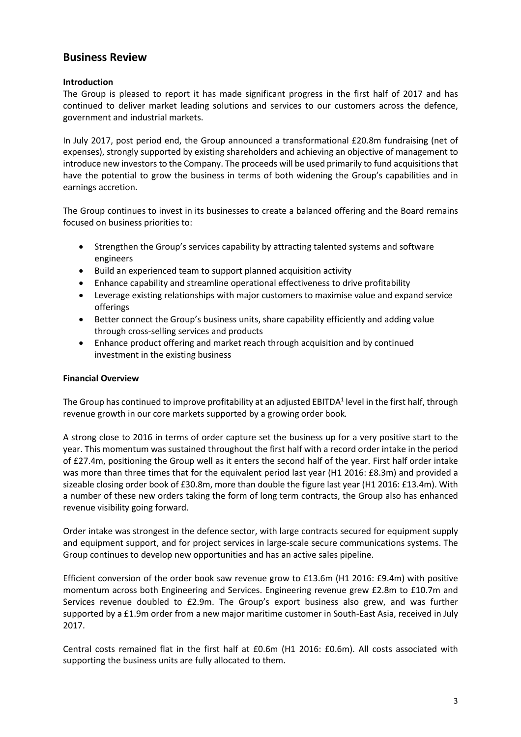# **Business Review**

# **Introduction**

The Group is pleased to report it has made significant progress in the first half of 2017 and has continued to deliver market leading solutions and services to our customers across the defence, government and industrial markets.

In July 2017, post period end, the Group announced a transformational £20.8m fundraising (net of expenses), strongly supported by existing shareholders and achieving an objective of management to introduce new investors to the Company. The proceeds will be used primarily to fund acquisitions that have the potential to grow the business in terms of both widening the Group's capabilities and in earnings accretion.

The Group continues to invest in its businesses to create a balanced offering and the Board remains focused on business priorities to:

- Strengthen the Group's services capability by attracting talented systems and software engineers
- Build an experienced team to support planned acquisition activity
- Enhance capability and streamline operational effectiveness to drive profitability
- Leverage existing relationships with major customers to maximise value and expand service offerings
- Better connect the Group's business units, share capability efficiently and adding value through cross-selling services and products
- Enhance product offering and market reach through acquisition and by continued investment in the existing business

# **Financial Overview**

The Group has continued to improve profitability at an adjusted EBITDA $^{\rm 1}$  level in the first half, through revenue growth in our core markets supported by a growing order book*.*

A strong close to 2016 in terms of order capture set the business up for a very positive start to the year. This momentum was sustained throughout the first half with a record order intake in the period of £27.4m, positioning the Group well as it enters the second half of the year. First half order intake was more than three times that for the equivalent period last year (H1 2016: £8.3m) and provided a sizeable closing order book of £30.8m, more than double the figure last year (H1 2016: £13.4m). With a number of these new orders taking the form of long term contracts, the Group also has enhanced revenue visibility going forward.

Order intake was strongest in the defence sector, with large contracts secured for equipment supply and equipment support, and for project services in large-scale secure communications systems. The Group continues to develop new opportunities and has an active sales pipeline.

Efficient conversion of the order book saw revenue grow to £13.6m (H1 2016: £9.4m) with positive momentum across both Engineering and Services. Engineering revenue grew £2.8m to £10.7m and Services revenue doubled to £2.9m. The Group's export business also grew, and was further supported by a £1.9m order from a new major maritime customer in South-East Asia, received in July 2017.

Central costs remained flat in the first half at £0.6m (H1 2016: £0.6m). All costs associated with supporting the business units are fully allocated to them.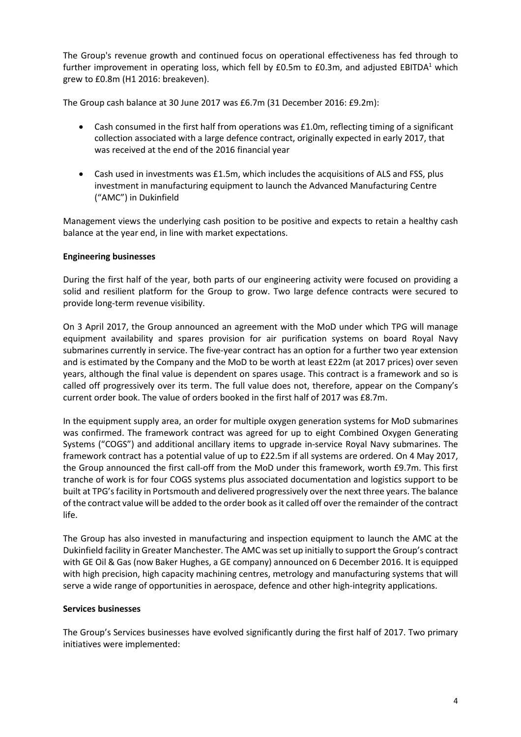The Group's revenue growth and continued focus on operational effectiveness has fed through to further improvement in operating loss, which fell by  $E0.5m$  to  $E0.3m$ , and adjusted EBITDA<sup>1</sup> which grew to £0.8m (H1 2016: breakeven).

The Group cash balance at 30 June 2017 was £6.7m (31 December 2016: £9.2m):

- Cash consumed in the first half from operations was £1.0m, reflecting timing of a significant collection associated with a large defence contract, originally expected in early 2017, that was received at the end of the 2016 financial year
- Cash used in investments was £1.5m, which includes the acquisitions of ALS and FSS, plus investment in manufacturing equipment to launch the Advanced Manufacturing Centre ("AMC") in Dukinfield

Management views the underlying cash position to be positive and expects to retain a healthy cash balance at the year end, in line with market expectations.

# **Engineering businesses**

During the first half of the year, both parts of our engineering activity were focused on providing a solid and resilient platform for the Group to grow. Two large defence contracts were secured to provide long-term revenue visibility.

On 3 April 2017, the Group announced an agreement with the MoD under which TPG will manage equipment availability and spares provision for air purification systems on board Royal Navy submarines currently in service. The five-year contract has an option for a further two year extension and is estimated by the Company and the MoD to be worth at least £22m (at 2017 prices) over seven years, although the final value is dependent on spares usage. This contract is a framework and so is called off progressively over its term. The full value does not, therefore, appear on the Company's current order book. The value of orders booked in the first half of 2017 was £8.7m.

In the equipment supply area, an order for multiple oxygen generation systems for MoD submarines was confirmed. The framework contract was agreed for up to eight Combined Oxygen Generating Systems ("COGS") and additional ancillary items to upgrade in-service Royal Navy submarines. The framework contract has a potential value of up to £22.5m if all systems are ordered. On 4 May 2017, the Group announced the first call-off from the MoD under this framework, worth £9.7m. This first tranche of work is for four COGS systems plus associated documentation and logistics support to be built at TPG'sfacility in Portsmouth and delivered progressively over the next three years. The balance of the contract value will be added to the order book asit called off over the remainder of the contract life.

The Group has also invested in manufacturing and inspection equipment to launch the AMC at the Dukinfield facility in Greater Manchester. The AMC was set up initially to support the Group's contract with GE Oil & Gas (now Baker Hughes, a GE company) announced on 6 December 2016. It is equipped with high precision, high capacity machining centres, metrology and manufacturing systems that will serve a wide range of opportunities in aerospace, defence and other high-integrity applications.

### **Services businesses**

The Group's Services businesses have evolved significantly during the first half of 2017. Two primary initiatives were implemented: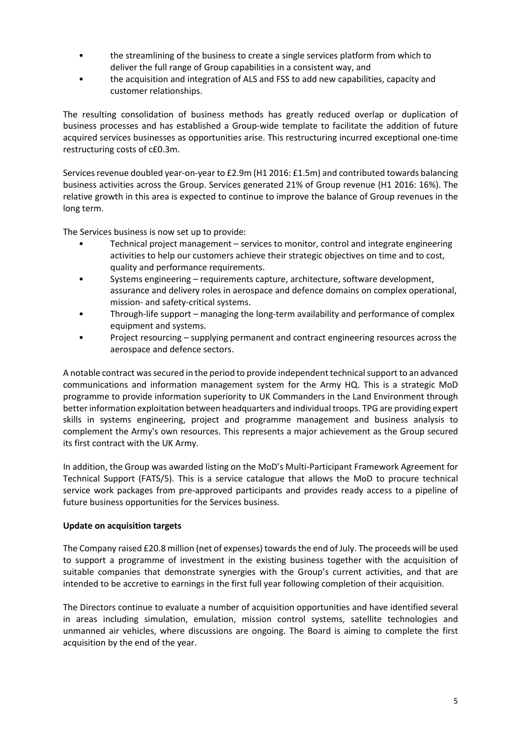- the streamlining of the business to create a single services platform from which to deliver the full range of Group capabilities in a consistent way, and
- the acquisition and integration of ALS and FSS to add new capabilities, capacity and customer relationships.

The resulting consolidation of business methods has greatly reduced overlap or duplication of business processes and has established a Group-wide template to facilitate the addition of future acquired services businesses as opportunities arise. This restructuring incurred exceptional one-time restructuring costs of c£0.3m.

Services revenue doubled year-on-year to £2.9m (H1 2016: £1.5m) and contributed towards balancing business activities across the Group. Services generated 21% of Group revenue (H1 2016: 16%). The relative growth in this area is expected to continue to improve the balance of Group revenues in the long term.

The Services business is now set up to provide:

- Technical project management services to monitor, control and integrate engineering activities to help our customers achieve their strategic objectives on time and to cost, quality and performance requirements.
- Systems engineering requirements capture, architecture, software development, assurance and delivery roles in aerospace and defence domains on complex operational, mission- and safety-critical systems.
- Through-life support managing the long-term availability and performance of complex equipment and systems.
- Project resourcing supplying permanent and contract engineering resources across the aerospace and defence sectors.

A notable contract was secured in the period to provide independent technical support to an advanced communications and information management system for the Army HQ. This is a strategic MoD programme to provide information superiority to UK Commanders in the Land Environment through betterinformation exploitation between headquarters and individual troops. TPG are providing expert skills in systems engineering, project and programme management and business analysis to complement the Army's own resources. This represents a major achievement as the Group secured its first contract with the UK Army.

In addition, the Group was awarded listing on the MoD's Multi-Participant Framework Agreement for Technical Support (FATS/5). This is a service catalogue that allows the MoD to procure technical service work packages from pre-approved participants and provides ready access to a pipeline of future business opportunities for the Services business.

### **Update on acquisition targets**

The Company raised £20.8 million (net of expenses) towardsthe end of July. The proceeds will be used to support a programme of investment in the existing business together with the acquisition of suitable companies that demonstrate synergies with the Group's current activities, and that are intended to be accretive to earnings in the first full year following completion of their acquisition.

The Directors continue to evaluate a number of acquisition opportunities and have identified several in areas including simulation, emulation, mission control systems, satellite technologies and unmanned air vehicles, where discussions are ongoing. The Board is aiming to complete the first acquisition by the end of the year.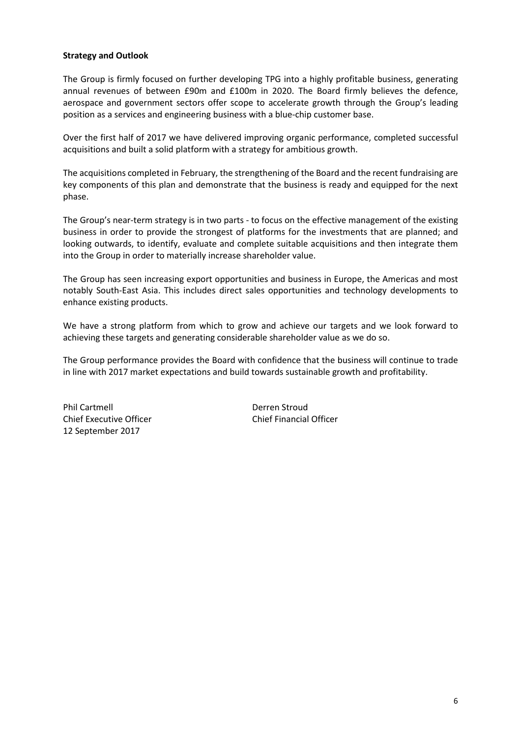# **Strategy and Outlook**

The Group is firmly focused on further developing TPG into a highly profitable business, generating annual revenues of between £90m and £100m in 2020. The Board firmly believes the defence, aerospace and government sectors offer scope to accelerate growth through the Group's leading position as a services and engineering business with a blue-chip customer base.

Over the first half of 2017 we have delivered improving organic performance, completed successful acquisitions and built a solid platform with a strategy for ambitious growth.

The acquisitions completed in February, the strengthening of the Board and the recent fundraising are key components of this plan and demonstrate that the business is ready and equipped for the next phase.

The Group's near-term strategy is in two parts - to focus on the effective management of the existing business in order to provide the strongest of platforms for the investments that are planned; and looking outwards, to identify, evaluate and complete suitable acquisitions and then integrate them into the Group in order to materially increase shareholder value.

The Group has seen increasing export opportunities and business in Europe, the Americas and most notably South-East Asia. This includes direct sales opportunities and technology developments to enhance existing products.

We have a strong platform from which to grow and achieve our targets and we look forward to achieving these targets and generating considerable shareholder value as we do so.

The Group performance provides the Board with confidence that the business will continue to trade in line with 2017 market expectations and build towards sustainable growth and profitability.

Phil Cartmell Derren Stroud Chief Executive Officer Chief Financial Officer 12 September 2017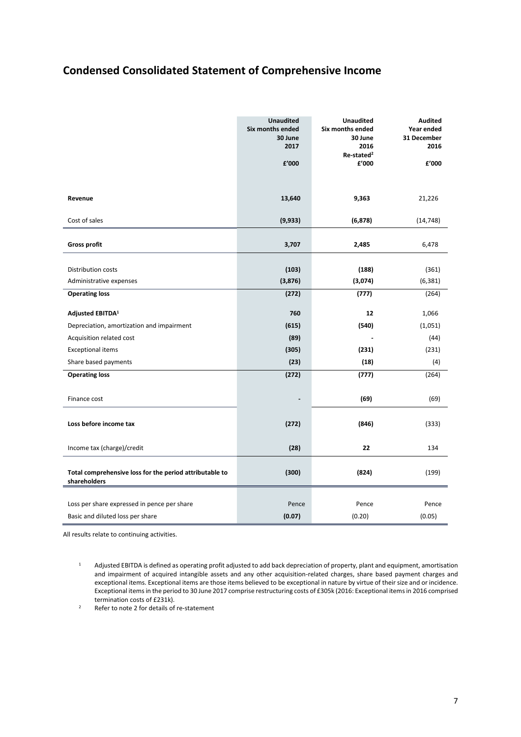# **Condensed Consolidated Statement of Comprehensive Income**

|                                                                           | <b>Unaudited</b><br>Six months ended<br>30 June<br>2017<br>f'000 | <b>Unaudited</b><br>Six months ended<br>30 June<br>2016<br>Re-stated <sup>2</sup><br>£'000 | <b>Audited</b><br>Year ended<br>31 December<br>2016<br>£'000 |
|---------------------------------------------------------------------------|------------------------------------------------------------------|--------------------------------------------------------------------------------------------|--------------------------------------------------------------|
| Revenue                                                                   | 13,640                                                           | 9,363                                                                                      | 21,226                                                       |
| Cost of sales                                                             | (9, 933)                                                         | (6, 878)                                                                                   | (14, 748)                                                    |
| <b>Gross profit</b>                                                       | 3,707                                                            | 2,485                                                                                      | 6,478                                                        |
| Distribution costs<br>Administrative expenses                             | (103)<br>(3,876)                                                 | (188)<br>(3,074)                                                                           | (361)<br>(6, 381)                                            |
| <b>Operating loss</b>                                                     | (272)                                                            | (777)                                                                                      | (264)                                                        |
| Adjusted EBITDA <sup>1</sup><br>Depreciation, amortization and impairment | 760<br>(615)                                                     | 12<br>(540)                                                                                | 1,066<br>(1,051)                                             |
| Acquisition related cost                                                  | (89)                                                             |                                                                                            | (44)                                                         |
| <b>Exceptional items</b>                                                  | (305)                                                            | (231)                                                                                      | (231)                                                        |
| Share based payments                                                      | (23)                                                             | (18)                                                                                       | (4)                                                          |
| <b>Operating loss</b>                                                     | (272)                                                            | (777)                                                                                      | (264)                                                        |
| Finance cost                                                              |                                                                  | (69)                                                                                       | (69)                                                         |
| Loss before income tax                                                    | (272)                                                            | (846)                                                                                      | (333)                                                        |
| Income tax (charge)/credit                                                | (28)                                                             | 22                                                                                         | 134                                                          |
| Total comprehensive loss for the period attributable to<br>shareholders   | (300)                                                            | (824)                                                                                      | (199)                                                        |
|                                                                           |                                                                  |                                                                                            |                                                              |
| Loss per share expressed in pence per share                               | Pence                                                            | Pence                                                                                      | Pence                                                        |
| Basic and diluted loss per share                                          | (0.07)                                                           | (0.20)                                                                                     | (0.05)                                                       |

All results relate to continuing activities.

- $1$  Adjusted EBITDA is defined as operating profit adjusted to add back depreciation of property, plant and equipment, amortisation and impairment of acquired intangible assets and any other acquisition-related charges, share based payment charges and exceptional items. Exceptional items are those items believed to be exceptional in nature by virtue of their size and or incidence. Exceptional items in the period to 30 June 2017 comprise restructuring costs of £305k (2016: Exceptional items in 2016 comprised termination costs of £231k).
- <sup>2</sup> Refer to note 2 for details of re-statement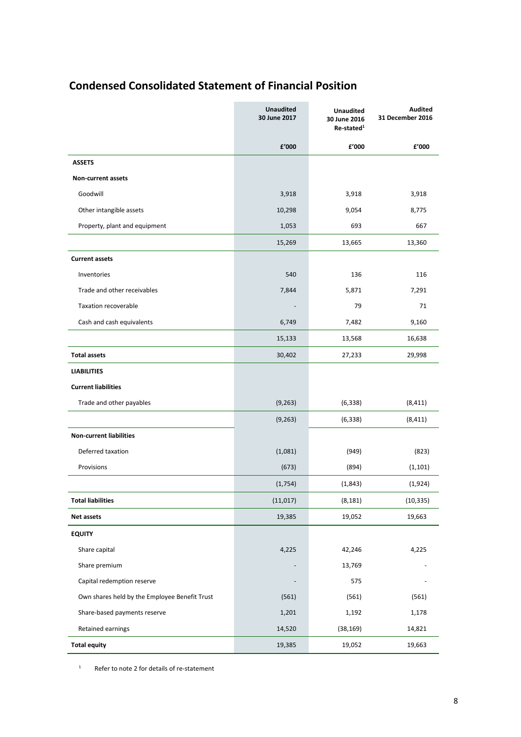# **Condensed Consolidated Statement of Financial Position**

|                                               | <b>Unaudited</b><br>30 June 2017 | <b>Unaudited</b><br>30 June 2016<br>Re-stated <sup>1</sup> | <b>Audited</b><br>31 December 2016 |
|-----------------------------------------------|----------------------------------|------------------------------------------------------------|------------------------------------|
|                                               | f'000                            | £'000                                                      | £'000                              |
| <b>ASSETS</b>                                 |                                  |                                                            |                                    |
| <b>Non-current assets</b>                     |                                  |                                                            |                                    |
| Goodwill                                      | 3,918                            | 3,918                                                      | 3,918                              |
| Other intangible assets                       | 10,298                           | 9,054                                                      | 8,775                              |
| Property, plant and equipment                 | 1,053                            | 693                                                        | 667                                |
|                                               | 15,269                           | 13,665                                                     | 13,360                             |
| <b>Current assets</b>                         |                                  |                                                            |                                    |
| Inventories                                   | 540                              | 136                                                        | 116                                |
| Trade and other receivables                   | 7,844                            | 5,871                                                      | 7,291                              |
| <b>Taxation recoverable</b>                   |                                  | 79                                                         | 71                                 |
| Cash and cash equivalents                     | 6,749                            | 7,482                                                      | 9,160                              |
|                                               | 15,133                           | 13,568                                                     | 16,638                             |
| <b>Total assets</b>                           | 30,402                           | 27,233                                                     | 29,998                             |
| <b>LIABILITIES</b>                            |                                  |                                                            |                                    |
| <b>Current liabilities</b>                    |                                  |                                                            |                                    |
| Trade and other payables                      | (9, 263)                         | (6, 338)                                                   | (8, 411)                           |
|                                               | (9, 263)                         | (6, 338)                                                   | (8, 411)                           |
| <b>Non-current liabilities</b>                |                                  |                                                            |                                    |
| Deferred taxation                             | (1,081)                          | (949)                                                      | (823)                              |
| Provisions                                    | (673)                            | (894)                                                      | (1, 101)                           |
|                                               | (1,754)                          | (1,843)                                                    | (1,924)                            |
| <b>Total liabilities</b>                      | (11, 017)                        | (8, 181)                                                   | (10, 335)                          |
| <b>Net assets</b>                             | 19,385                           | 19,052                                                     | 19,663                             |
| <b>EQUITY</b>                                 |                                  |                                                            |                                    |
| Share capital                                 | 4,225                            | 42,246                                                     | 4,225                              |
| Share premium                                 |                                  | 13,769                                                     |                                    |
| Capital redemption reserve                    |                                  | 575                                                        |                                    |
| Own shares held by the Employee Benefit Trust | (561)                            | (561)                                                      | (561)                              |
| Share-based payments reserve                  | 1,201                            | 1,192                                                      | 1,178                              |
| Retained earnings                             | 14,520                           | (38, 169)                                                  | 14,821                             |
| <b>Total equity</b>                           | 19,385                           | 19,052                                                     | 19,663                             |

<sup>1</sup> Refer to note 2 for details of re-statement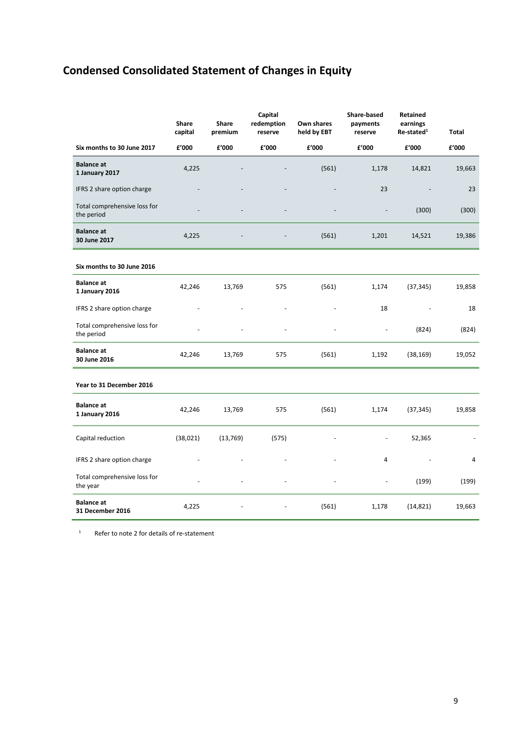# **Condensed Consolidated Statement of Changes in Equity**

|                                            | Share<br>capital | Share<br>premium | Capital<br>redemption<br>reserve | Own shares<br>held by EBT | <b>Share-based</b><br>payments<br>reserve | Retained<br>earnings<br>Re-stated <sup>1</sup> | <b>Total</b> |
|--------------------------------------------|------------------|------------------|----------------------------------|---------------------------|-------------------------------------------|------------------------------------------------|--------------|
| Six months to 30 June 2017                 | £'000            | £'000            | £'000                            | £'000                     | £'000                                     | £'000                                          | £'000        |
| <b>Balance at</b><br>1 January 2017        | 4,225            |                  |                                  | (561)                     | 1,178                                     | 14,821                                         | 19,663       |
| IFRS 2 share option charge                 |                  |                  |                                  |                           | 23                                        |                                                | 23           |
| Total comprehensive loss for<br>the period |                  |                  | $\overline{a}$                   |                           |                                           | (300)                                          | (300)        |
| <b>Balance at</b><br>30 June 2017          | 4,225            |                  |                                  | (561)                     | 1,201                                     | 14,521                                         | 19,386       |
| Six months to 30 June 2016                 |                  |                  |                                  |                           |                                           |                                                |              |
| <b>Balance at</b><br>1 January 2016        | 42,246           | 13,769           | 575                              | (561)                     | 1,174                                     | (37, 345)                                      | 19,858       |
| IFRS 2 share option charge                 |                  |                  |                                  |                           | 18                                        |                                                | 18           |
| Total comprehensive loss for<br>the period |                  |                  |                                  |                           |                                           | (824)                                          | (824)        |
| <b>Balance at</b><br>30 June 2016          | 42,246           | 13,769           | 575                              | (561)                     | 1,192                                     | (38, 169)                                      | 19,052       |
| Year to 31 December 2016                   |                  |                  |                                  |                           |                                           |                                                |              |
| <b>Balance at</b><br>1 January 2016        | 42,246           | 13,769           | 575                              | (561)                     | 1,174                                     | (37, 345)                                      | 19,858       |
| Capital reduction                          | (38, 021)        | (13, 769)        | (575)                            |                           |                                           | 52,365                                         |              |
| IFRS 2 share option charge                 |                  |                  |                                  |                           | 4                                         |                                                | 4            |
| Total comprehensive loss for<br>the year   |                  |                  |                                  |                           |                                           | (199)                                          | (199)        |
| <b>Balance at</b><br>31 December 2016      | 4,225            |                  |                                  | (561)                     | 1,178                                     | (14, 821)                                      | 19,663       |

<sup>1</sup> Refer to note 2 for details of re-statement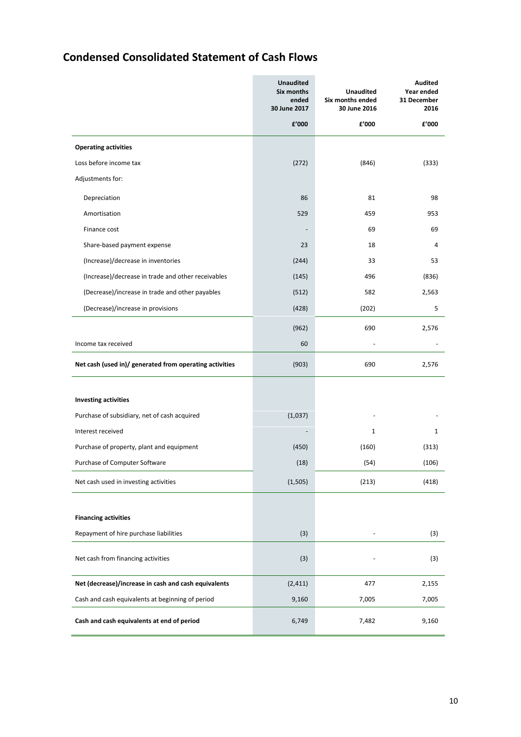# **Condensed Consolidated Statement of Cash Flows**

|                                                         | <b>Unaudited</b><br>Six months<br>ended<br>30 June 2017 | Unaudited<br>Six months ended<br>30 June 2016 | Audited<br>Year ended<br>31 December<br>2016 |
|---------------------------------------------------------|---------------------------------------------------------|-----------------------------------------------|----------------------------------------------|
|                                                         | f'000                                                   | £'000                                         | £'000                                        |
| <b>Operating activities</b>                             |                                                         |                                               |                                              |
| Loss before income tax                                  | (272)                                                   | (846)                                         | (333)                                        |
| Adjustments for:                                        |                                                         |                                               |                                              |
| Depreciation                                            | 86                                                      | 81                                            | 98                                           |
| Amortisation                                            | 529                                                     | 459                                           | 953                                          |
| Finance cost                                            |                                                         | 69                                            | 69                                           |
| Share-based payment expense                             | 23                                                      | 18                                            | 4                                            |
| (Increase)/decrease in inventories                      | (244)                                                   | 33                                            | 53                                           |
| (Increase)/decrease in trade and other receivables      | (145)                                                   | 496                                           | (836)                                        |
| (Decrease)/increase in trade and other payables         | (512)                                                   | 582                                           | 2,563                                        |
| (Decrease)/increase in provisions                       | (428)                                                   | (202)                                         | 5                                            |
|                                                         | (962)                                                   | 690                                           | 2,576                                        |
| Income tax received                                     | 60                                                      |                                               |                                              |
| Net cash (used in)/ generated from operating activities | (903)                                                   | 690                                           | 2,576                                        |
| <b>Investing activities</b>                             |                                                         |                                               |                                              |
| Purchase of subsidiary, net of cash acquired            | (1,037)                                                 |                                               |                                              |
| Interest received                                       |                                                         | $\mathbf 1$                                   | 1                                            |
| Purchase of property, plant and equipment               | (450)                                                   | (160)                                         | (313)                                        |
| Purchase of Computer Software                           | (18)                                                    | (54)                                          | (106)                                        |
| Net cash used in investing activities                   | (1,505)                                                 | (213)                                         | (418)                                        |
| <b>Financing activities</b>                             |                                                         |                                               |                                              |
| Repayment of hire purchase liabilities                  | (3)                                                     |                                               | (3)                                          |
|                                                         |                                                         |                                               |                                              |
| Net cash from financing activities                      | (3)                                                     |                                               | (3)                                          |
| Net (decrease)/increase in cash and cash equivalents    | (2, 411)                                                | 477                                           | 2,155                                        |
| Cash and cash equivalents at beginning of period        | 9,160                                                   | 7,005                                         | 7,005                                        |
| Cash and cash equivalents at end of period              | 6,749                                                   | 7,482                                         | 9,160                                        |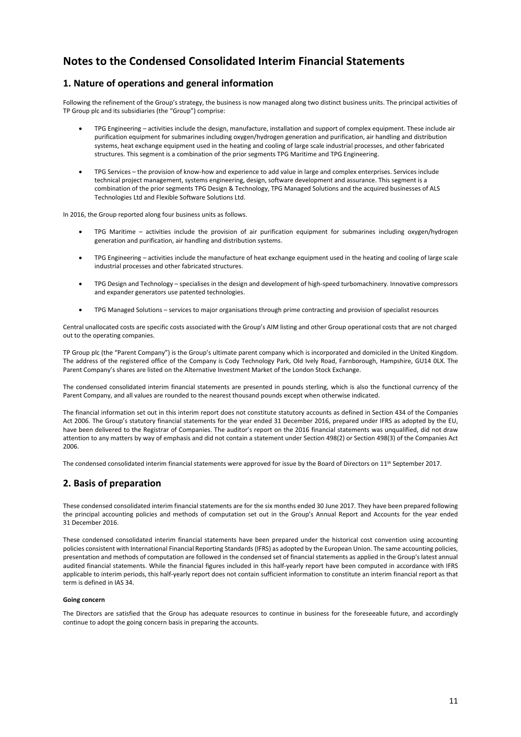# **Notes to the Condensed Consolidated Interim Financial Statements**

# **1. Nature of operations and general information**

Following the refinement of the Group's strategy, the business is now managed along two distinct business units. The principal activities of TP Group plc and its subsidiaries (the "Group") comprise:

- TPG Engineering activities include the design, manufacture, installation and support of complex equipment. These include air purification equipment for submarines including oxygen/hydrogen generation and purification, air handling and distribution systems, heat exchange equipment used in the heating and cooling of large scale industrial processes, and other fabricated structures. This segment is a combination of the prior segments TPG Maritime and TPG Engineering.
- TPG Services the provision of know-how and experience to add value in large and complex enterprises. Services include technical project management, systems engineering, design, software development and assurance. This segment is a combination of the prior segments TPG Design & Technology, TPG Managed Solutions and the acquired businesses of ALS Technologies Ltd and Flexible Software Solutions Ltd.

In 2016, the Group reported along four business units as follows.

- TPG Maritime activities include the provision of air purification equipment for submarines including oxygen/hydrogen generation and purification, air handling and distribution systems.
- TPG Engineering activities include the manufacture of heat exchange equipment used in the heating and cooling of large scale industrial processes and other fabricated structures.
- TPG Design and Technology specialises in the design and development of high-speed turbomachinery. Innovative compressors and expander generators use patented technologies.
- TPG Managed Solutions services to major organisations through prime contracting and provision of specialist resources

Central unallocated costs are specific costs associated with the Group's AIM listing and other Group operational costs that are not charged out to the operating companies.

TP Group plc (the "Parent Company") is the Group's ultimate parent company which is incorporated and domiciled in the United Kingdom. The address of the registered office of the Company is Cody Technology Park, Old Ively Road, Farnborough, Hampshire, GU14 0LX. The Parent Company's shares are listed on the Alternative Investment Market of the London Stock Exchange.

The condensed consolidated interim financial statements are presented in pounds sterling, which is also the functional currency of the Parent Company, and all values are rounded to the nearest thousand pounds except when otherwise indicated.

The financial information set out in this interim report does not constitute statutory accounts as defined in Section 434 of the Companies Act 2006. The Group's statutory financial statements for the year ended 31 December 2016, prepared under IFRS as adopted by the EU, have been delivered to the Registrar of Companies. The auditor's report on the 2016 financial statements was unqualified, did not draw attention to any matters by way of emphasis and did not contain a statement under Section 498(2) or Section 498(3) of the Companies Act 2006.

The condensed consolidated interim financial statements were approved for issue by the Board of Directors on 11<sup>th</sup> September 2017.

# **2. Basis of preparation**

These condensed consolidated interim financial statements are for the six months ended 30 June 2017. They have been prepared following the principal accounting policies and methods of computation set out in the Group's Annual Report and Accounts for the year ended 31 December 2016.

These condensed consolidated interim financial statements have been prepared under the historical cost convention using accounting policies consistent with International Financial Reporting Standards (IFRS) as adopted by the European Union. The same accounting policies, presentation and methods of computation are followed in the condensed set of financial statements as applied in the Group's latest annual audited financial statements. While the financial figures included in this half-yearly report have been computed in accordance with IFRS applicable to interim periods, this half-yearly report does not contain sufficient information to constitute an interim financial report as that term is defined in IAS 34.

#### **Going concern**

The Directors are satisfied that the Group has adequate resources to continue in business for the foreseeable future, and accordingly continue to adopt the going concern basis in preparing the accounts.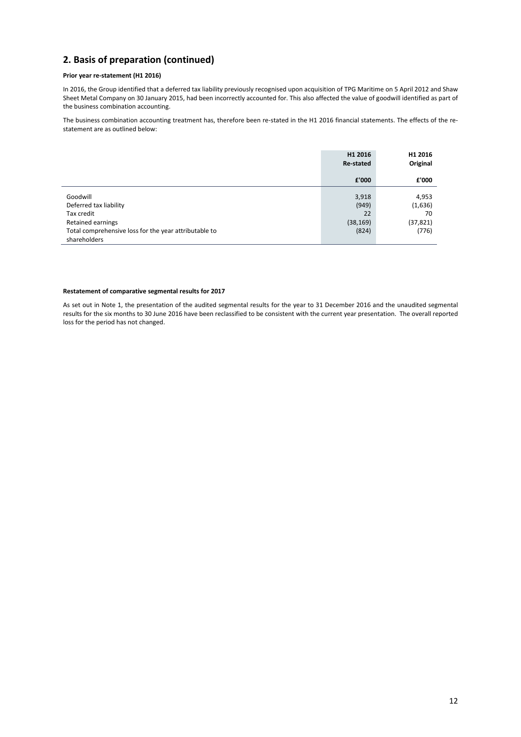# **2. Basis of preparation (continued)**

#### **Prior year re-statement (H1 2016)**

In 2016, the Group identified that a deferred tax liability previously recognised upon acquisition of TPG Maritime on 5 April 2012 and Shaw Sheet Metal Company on 30 January 2015, had been incorrectly accounted for. This also affected the value of goodwill identified as part of the business combination accounting.

The business combination accounting treatment has, therefore been re-stated in the H1 2016 financial statements. The effects of the restatement are as outlined below:

|                                                                                                                                                | H1 2016<br>Re-stated                       | H1 2016<br>Original                          |
|------------------------------------------------------------------------------------------------------------------------------------------------|--------------------------------------------|----------------------------------------------|
|                                                                                                                                                | £'000                                      | £'000                                        |
| Goodwill<br>Deferred tax liability<br>Tax credit<br>Retained earnings<br>Total comprehensive loss for the year attributable to<br>shareholders | 3,918<br>(949)<br>22<br>(38, 169)<br>(824) | 4,953<br>(1,636)<br>70<br>(37, 821)<br>(776) |

#### **Restatement of comparative segmental results for 2017**

As set out in Note 1, the presentation of the audited segmental results for the year to 31 December 2016 and the unaudited segmental results for the six months to 30 June 2016 have been reclassified to be consistent with the current year presentation. The overall reported loss for the period has not changed.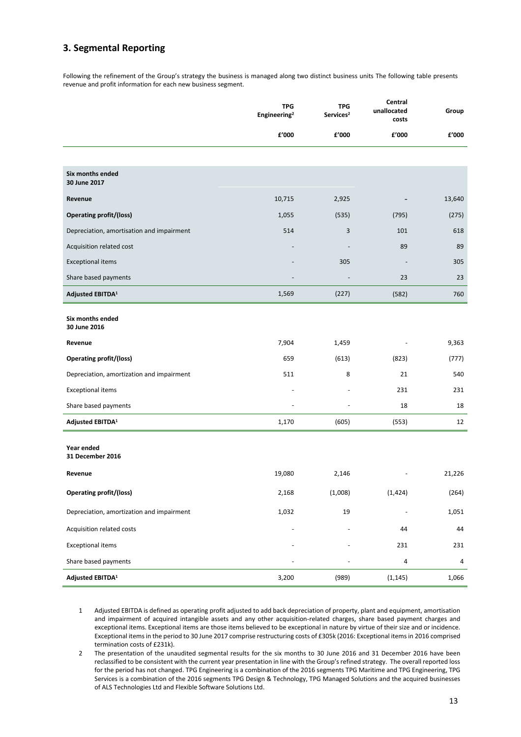# **3. Segmental Reporting**

Following the refinement of the Group's strategy the business is managed along two distinct business units The following table presents revenue and profit information for each new business segment.

|                                           | <b>TPG</b><br>Engineering <sup>2</sup> | <b>TPG</b><br>Services <sup>2</sup> | Central<br>unallocated<br>costs | Group  |
|-------------------------------------------|----------------------------------------|-------------------------------------|---------------------------------|--------|
|                                           | £'000                                  | £'000                               | £'000                           | £'000  |
|                                           |                                        |                                     |                                 |        |
| Six months ended<br>30 June 2017          |                                        |                                     |                                 |        |
| Revenue                                   | 10,715                                 | 2,925                               |                                 | 13,640 |
| <b>Operating profit/(loss)</b>            | 1,055                                  | (535)                               | (795)                           | (275)  |
| Depreciation, amortisation and impairment | 514                                    | 3                                   | 101                             | 618    |
| Acquisition related cost                  |                                        |                                     | 89                              | 89     |
| <b>Exceptional items</b>                  |                                        | 305                                 |                                 | 305    |
| Share based payments                      |                                        |                                     | 23                              | 23     |
| Adjusted EBITDA <sup>1</sup>              | 1,569                                  | (227)                               | (582)                           | 760    |
| Six months ended<br>30 June 2016          |                                        |                                     |                                 |        |
| Revenue                                   | 7,904                                  | 1,459                               |                                 | 9,363  |
| <b>Operating profit/(loss)</b>            | 659                                    | (613)                               | (823)                           | (777)  |
| Depreciation, amortization and impairment | 511                                    | 8                                   | 21                              | 540    |
| <b>Exceptional items</b>                  |                                        |                                     | 231                             | 231    |
| Share based payments                      | $\overline{\phantom{m}}$               | $\overline{a}$                      | 18                              | 18     |
| Adjusted EBITDA <sup>1</sup>              | 1,170                                  | (605)                               | (553)                           | 12     |
| Year ended<br>31 December 2016            |                                        |                                     |                                 |        |
| Revenue                                   | 19,080                                 | 2,146                               |                                 | 21,226 |
| <b>Operating profit/(loss)</b>            | 2,168                                  | (1,008)                             | (1, 424)                        | (264)  |
| Depreciation, amortization and impairment | 1,032                                  | 19                                  |                                 | 1,051  |
| Acquisition related costs                 |                                        |                                     | 44                              | 44     |
| <b>Exceptional items</b>                  |                                        |                                     | 231                             | 231    |
| Share based payments                      |                                        |                                     | 4                               | 4      |
| Adjusted EBITDA <sup>1</sup>              | 3,200                                  | (989)                               | (1, 145)                        | 1,066  |

1 Adjusted EBITDA is defined as operating profit adjusted to add back depreciation of property, plant and equipment, amortisation and impairment of acquired intangible assets and any other acquisition-related charges, share based payment charges and exceptional items. Exceptional items are those items believed to be exceptional in nature by virtue of their size and or incidence. Exceptional itemsin the period to 30 June 2017 comprise restructuring costs of £305k (2016: Exceptional itemsin 2016 comprised termination costs of £231k).

2 The presentation of the unaudited segmental results for the six months to 30 June 2016 and 31 December 2016 have been reclassified to be consistent with the current year presentation in line with the Group's refined strategy. The overall reported loss for the period has not changed. TPG Engineering is a combination of the 2016 segments TPG Maritime and TPG Engineering, TPG Services is a combination of the 2016 segments TPG Design & Technology, TPG Managed Solutions and the acquired businesses of ALS Technologies Ltd and Flexible Software Solutions Ltd.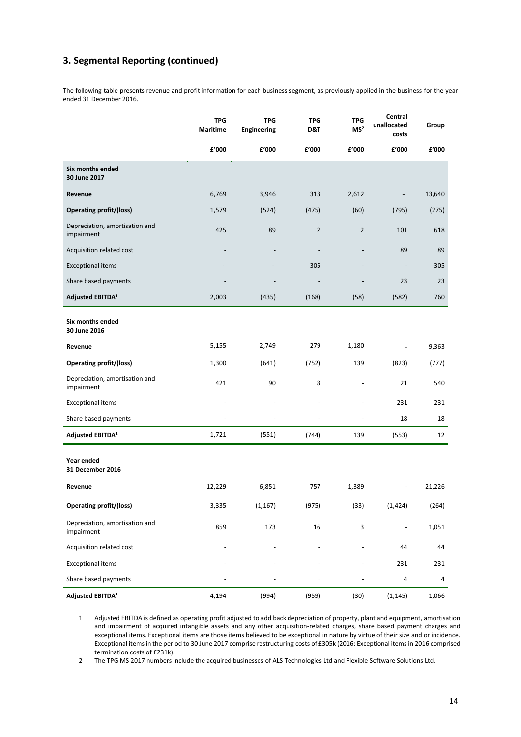# **3. Segmental Reporting (continued)**

The following table presents revenue and profit information for each business segment, as previously applied in the business for the year ended 31 December 2016.

|                                              | <b>TPG</b><br><b>Maritime</b> | <b>TPG</b><br><b>Engineering</b> | <b>TPG</b><br>D&T | <b>TPG</b><br>MS <sup>2</sup> | Central<br>unallocated<br>costs | Group  |
|----------------------------------------------|-------------------------------|----------------------------------|-------------------|-------------------------------|---------------------------------|--------|
|                                              | £'000                         | f'000                            | £'000             | £'000                         | £'000                           | £'000  |
| Six months ended<br>30 June 2017             |                               |                                  |                   |                               |                                 |        |
| Revenue                                      | 6,769                         | 3,946                            | 313               | 2,612                         |                                 | 13,640 |
| <b>Operating profit/(loss)</b>               | 1,579                         | (524)                            | (475)             | (60)                          | (795)                           | (275)  |
| Depreciation, amortisation and<br>impairment | 425                           | 89                               | $\overline{2}$    | $\overline{2}$                | 101                             | 618    |
| Acquisition related cost                     |                               |                                  |                   |                               | 89                              | 89     |
| <b>Exceptional items</b>                     |                               |                                  | 305               |                               | $\overline{\phantom{m}}$        | 305    |
| Share based payments                         |                               |                                  |                   |                               | 23                              | 23     |
| Adjusted EBITDA <sup>1</sup>                 | 2,003                         | (435)                            | (168)             | (58)                          | (582)                           | 760    |
| Six months ended<br>30 June 2016             |                               |                                  |                   |                               |                                 |        |
| Revenue                                      | 5,155                         | 2,749                            | 279               | 1,180                         |                                 | 9,363  |
| <b>Operating profit/(loss)</b>               | 1,300                         | (641)                            | (752)             | 139                           | (823)                           | (777)  |
| Depreciation, amortisation and<br>impairment | 421                           | 90                               | 8                 |                               | 21                              | 540    |
| <b>Exceptional items</b>                     |                               |                                  |                   | $\overline{a}$                | 231                             | 231    |
| Share based payments                         |                               |                                  |                   |                               | 18                              | 18     |
| Adjusted EBITDA <sup>1</sup>                 | 1,721                         | (551)                            | (744)             | 139                           | (553)                           | 12     |
| Year ended<br>31 December 2016               |                               |                                  |                   |                               |                                 |        |
| Revenue                                      | 12,229                        | 6,851                            | 757               | 1,389                         |                                 | 21,226 |
| <b>Operating profit/(loss)</b>               | 3,335                         | (1, 167)                         | (975)             | (33)                          | (1, 424)                        | (264)  |
| Depreciation, amortisation and<br>impairment | 859                           | 173                              | 16                | 3                             | $\blacksquare$                  | 1,051  |
| Acquisition related cost                     |                               |                                  |                   |                               | 44                              | 44     |
| <b>Exceptional items</b>                     |                               |                                  |                   |                               | 231                             | 231    |
| Share based payments                         |                               |                                  |                   |                               | $\overline{a}$                  | 4      |
| Adjusted EBITDA <sup>1</sup>                 | 4,194                         | (994)                            | (959)             | (30)                          | (1, 145)                        | 1,066  |

1 Adjusted EBITDA is defined as operating profit adjusted to add back depreciation of property, plant and equipment, amortisation and impairment of acquired intangible assets and any other acquisition-related charges, share based payment charges and exceptional items. Exceptional items are those items believed to be exceptional in nature by virtue of their size and or incidence. Exceptional itemsin the period to 30 June 2017 comprise restructuring costs of £305k (2016: Exceptional itemsin 2016 comprised termination costs of £231k).

2 The TPG MS 2017 numbers include the acquired businesses of ALS Technologies Ltd and Flexible Software Solutions Ltd.